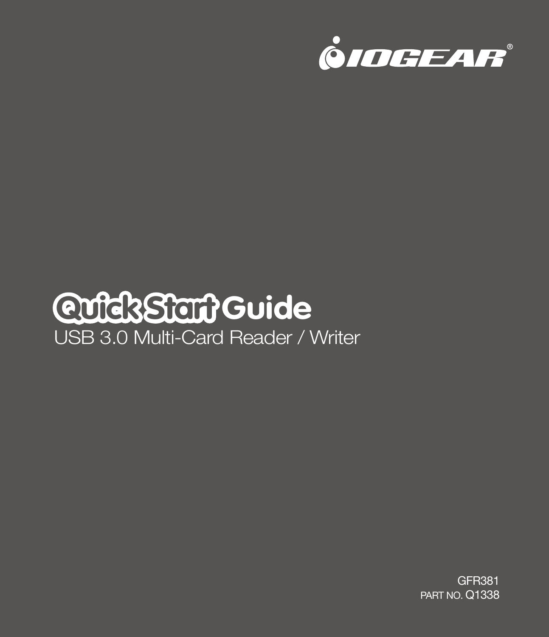

# USB 3.0 Multi-Card Reader / Writer **Quick Start Guide**

GFR381 PART NO. Q1338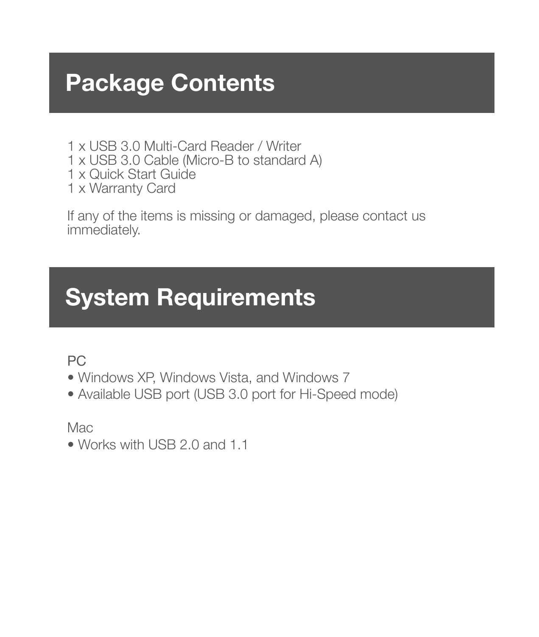# **Package Contents**

- 1 x USB 3.0 Multi-Card Reader / Writer
- 1 x USB 3.0 Cable (Micro-B to standard A)
- 1 x Quick Start Guide
- 1 x Warranty Card

If any of the items is missing or damaged, please contact us immediately.

# **System Requirements**

PC

- Windows XP, Windows Vista, and Windows 7
- Available USB port (USB 3.0 port for Hi-Speed mode)

Mac

• Works with USB 2.0 and 1.1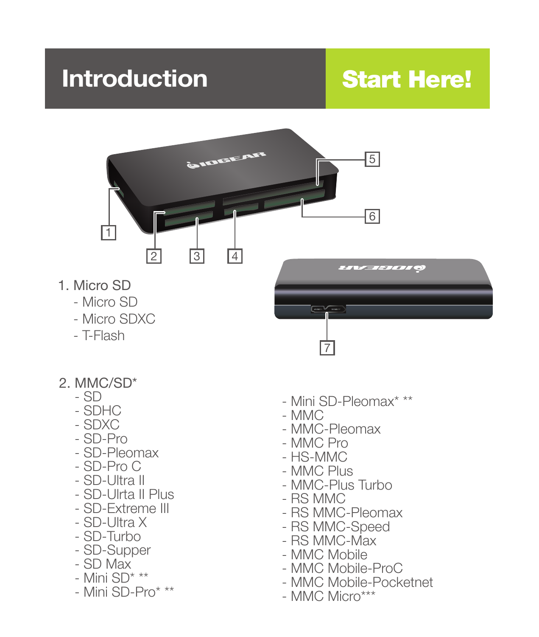# **Introduction**

# Start Here!



- 2. MMC/SD\*
	- $-$  SD
	- SDHC
	- SDXC
	- SD-Pro
	- SD-Pleomax
	- SD-Pro C
	- SD-Ultra II
	- SD-Ulrta II Plus
	- SD-Extreme III
	- SD-Ultra X
	- SD-Turbo
	- SD-Supper
	- SD Max
	- Mini SD\* \*\*
	- Mini SD-Pro\* \*\*
- Mini SD-Pleomax\* \*\*
- MMC
- MMC-Pleomax
- MMC Pro
- HS-MMC
- MMC Plus
- MMC-Plus Turbo
- RS MMC
- RS MMC-Pleomax
- RS MMC-Speed
- RS MMC-Max
- MMC Mobile
- MMC Mobile-ProC
- MMC Mobile-Pocketnet
- MMC Micro\*\*\*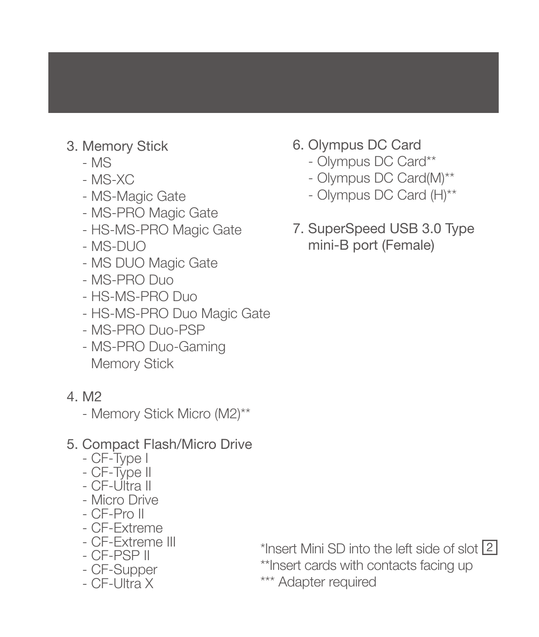- 3. Memory Stick
	- MS
	- MS-XC
	- MS-Magic Gate
	- MS-PRO Magic Gate
	- HS-MS-PRO Magic Gate
	- $-$  MS-DUO
	- MS DUO Magic Gate
	- MS-PRO Duo
	- HS-MS-PRO Duo
	- HS-MS-PRO Duo Magic Gate
	- MS-PRO Duo-PSP
	- MS-PRO Duo-Gaming Memory Stick
- 4. M2
	- Memory Stick Micro (M2)\*\*
- 5. Compact Flash/Micro Drive
	- CF-Type I
	- CF-Type II
	- CF-Ultra II
	- Micro Drive
	- CF-Pro II
	- CF-Extreme
	- CF-Extreme III
	- CF-PSP II
	- CF-Supper
	- CF-Ultra X
- 6. Olympus DC Card
	- Olympus DC Card\*\*
	- Olympus DC Card(M)\*\*
	- Olympus DC Card (H)\*\*
- 7. SuperSpeed USB 3.0 Type mini-B port (Female)

\*Insert Mini SD into the left side of slot 2 \*\*Insert cards with contacts facing up \*\*\* Adapter required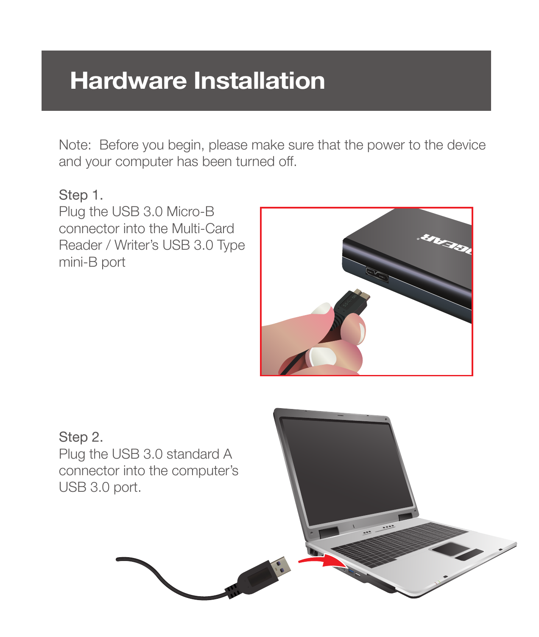### **Hardware Installation Hardware Installation**

Note: Before you begin, please make sure that the power to the device and your computer has been turned off.

#### Step 1.

Plug the USB 3.0 Micro-B connector into the Multi-Card Reader / Writer's USB 3.0 Type mini-B port



#### Step 2. Plug the USB 3.0 standard A connector into the computer's USB 3.0 port.

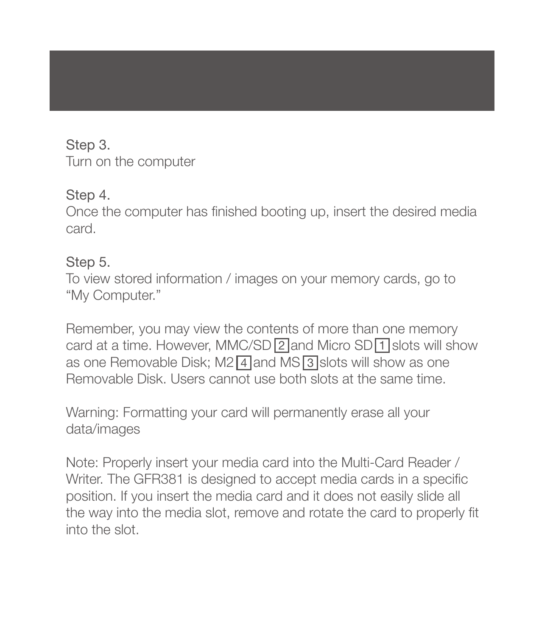#### Step 3.

Turn on the computer

#### Step 4.

Once the computer has finished booting up, insert the desired media card.

#### Step 5.

To view stored information / images on your memory cards, go to "My Computer."

card at a time. However, MMC/SD 2 and Micro SD 1 slots will show as one Removable Disk; M2 4 and MS 3 slots will show as one Remember, you may view the contents of more than one memory Removable Disk. Users cannot use both slots at the same time.

Warning: Formatting your card will permanently erase all your data/images

Note: Properly insert your media card into the Multi-Card Reader / Writer. The GFR381 is designed to accept media cards in a specific position. If you insert the media card and it does not easily slide all the way into the media slot, remove and rotate the card to properly fit into the slot.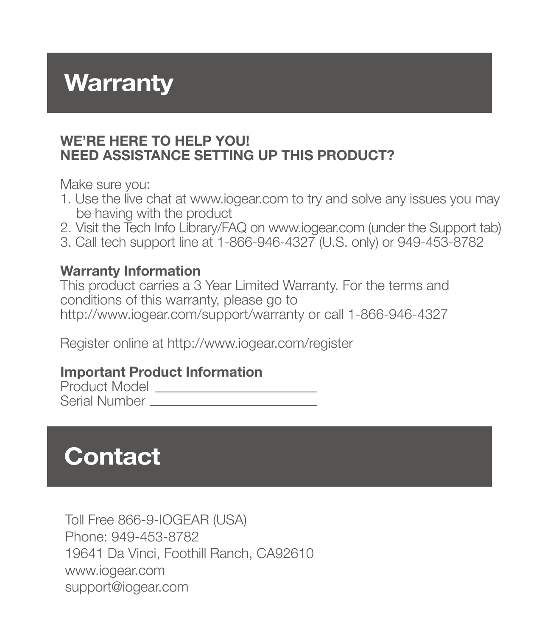# **Warranty**

#### **WE'RE HERE TO HELP YOU! NEED ASSISTANCE SETTING UP THIS PRODUCT?**

Make sure you:

- 1. Use the live chat at www.iogear.com to try and solve any issues you may be having with the product
- 2. Visit the Tech Info Library/FAQ on www.iogear.com (under the Support tab)
- 3. Call tech support line at 1-866-946-4327 (U.S. only) or 949-453-8782

#### **Warranty Information**

This product carries a 3 Year Limited Warranty. For the terms and conditions of this warranty, please go to http://www.iogear.com/support/warranty or call 1-866-946-4327

Register online at http://www.iogear.com/register

#### **Important Product Information**

Product Model Serial Number

# **Contact**

Toll Free 866-9-IOGEAR (USA) Phone: 949-453-8782 19641 Da Vinci, Foothill Ranch, CA92610 www.iogear.com support@iogear.com